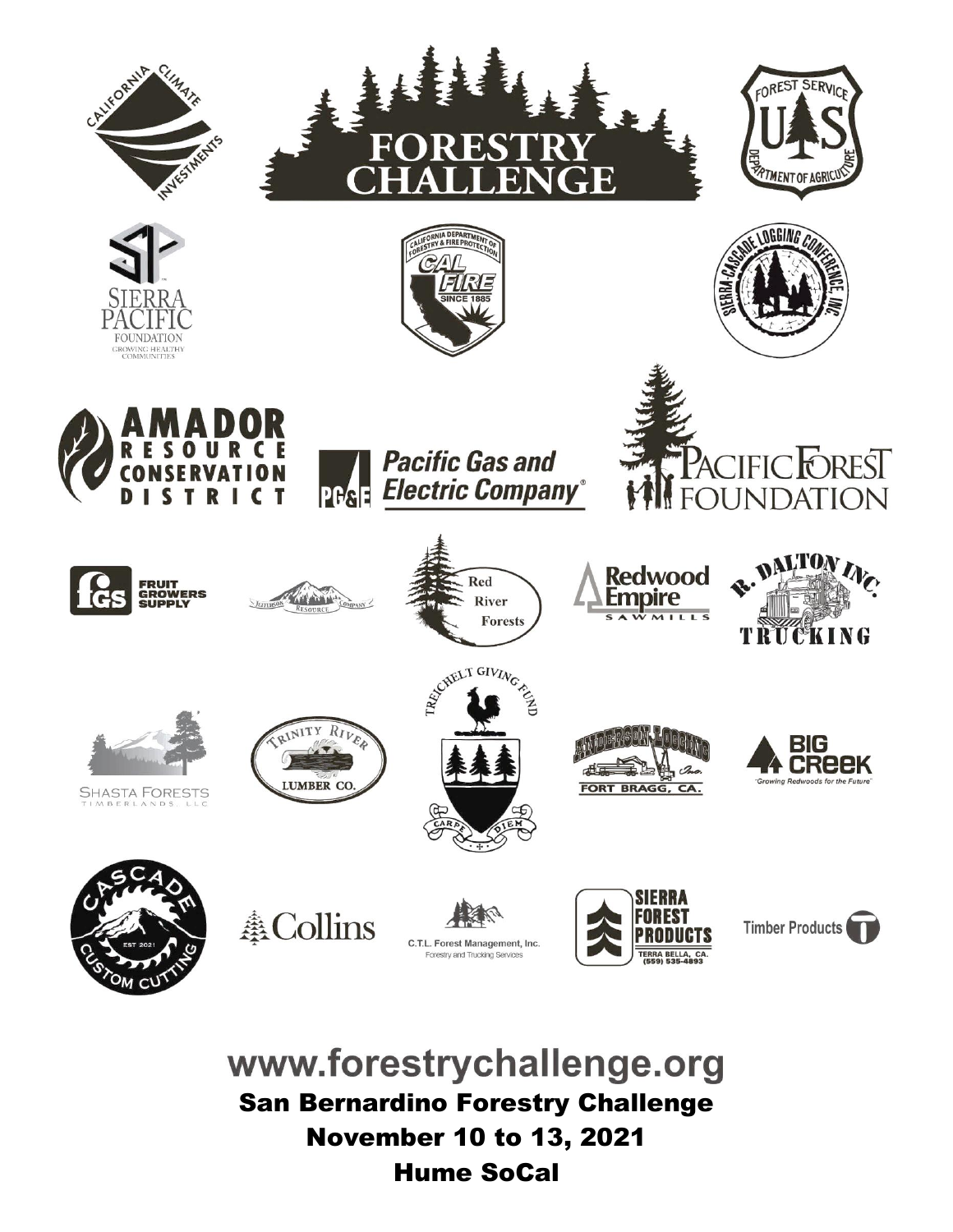













**Pacific Gas and Electric Company PGSE** 













FORT BRAGG, CA.

Redwood

Empire







**SHASTA FORESTS** 

**ACollins** 

RINITY RIVE

LUMBER CO







www.forestrychallenge.org San Bernardino Forestry Challenge November 10 to 13, 2021 Hume SoCal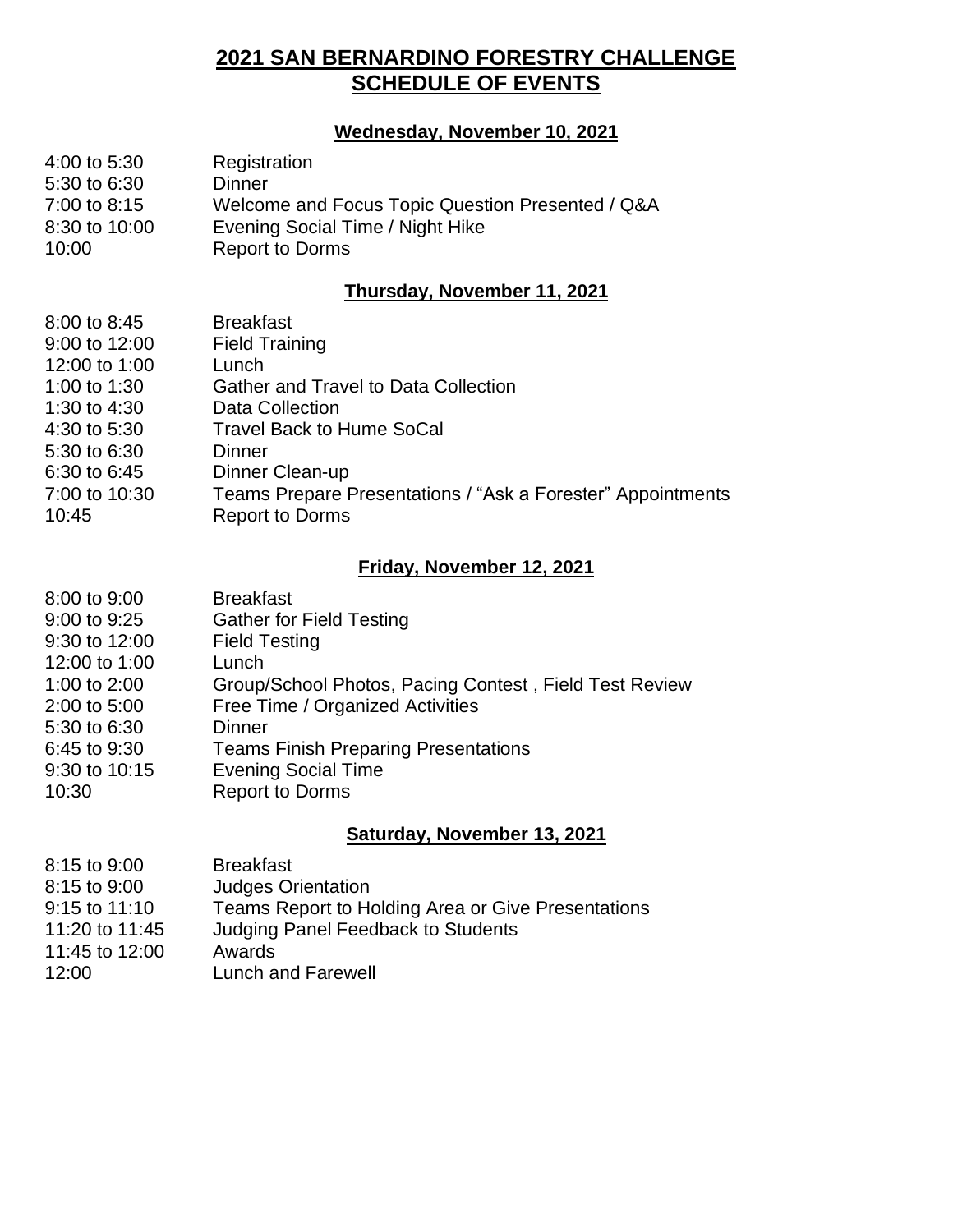#### **2021 SAN BERNARDINO FORESTRY CHALLENGE SCHEDULE OF EVENTS**

#### **Wednesday, November 10, 2021**

| $4:00$ to 5:30 | Registration                                     |
|----------------|--------------------------------------------------|
| 5:30 to 6:30   | Dinner                                           |
| 7:00 to 8:15   | Welcome and Focus Topic Question Presented / Q&A |
| 8:30 to 10:00  | Evening Social Time / Night Hike                 |
| 10:00          | <b>Report to Dorms</b>                           |

#### **Thursday, November 11, 2021**

| 8:00 to 8:45<br>9:00 to 12:00 | <b>Breakfast</b><br><b>Field Training</b>                   |
|-------------------------------|-------------------------------------------------------------|
| 12:00 to 1:00                 | Lunch                                                       |
| 1:00 to 1:30                  | Gather and Travel to Data Collection                        |
| 1:30 to 4:30                  | Data Collection                                             |
| 4:30 to 5:30                  | <b>Travel Back to Hume SoCal</b>                            |
| 5:30 to 6:30                  | Dinner                                                      |
| 6:30 to 6:45                  | Dinner Clean-up                                             |
| 7:00 to 10:30                 | Teams Prepare Presentations / "Ask a Forester" Appointments |
| 10:45                         | <b>Report to Dorms</b>                                      |

#### **Friday, November 12, 2021**

| <b>Breakfast</b>                                       |
|--------------------------------------------------------|
| <b>Gather for Field Testing</b>                        |
| <b>Field Testing</b>                                   |
| Lunch                                                  |
| Group/School Photos, Pacing Contest, Field Test Review |
| Free Time / Organized Activities                       |
| Dinner                                                 |
| <b>Teams Finish Preparing Presentations</b>            |
| <b>Evening Social Time</b>                             |
| <b>Report to Dorms</b>                                 |
|                                                        |

#### **Saturday, November 13, 2021**

| 8:15 to 9:00   | <b>Breakfast</b>                                   |
|----------------|----------------------------------------------------|
| 8:15 to 9:00   | <b>Judges Orientation</b>                          |
| 9:15 to 11:10  | Teams Report to Holding Area or Give Presentations |
| 11:20 to 11:45 | <b>Judging Panel Feedback to Students</b>          |
| 11:45 to 12:00 | Awards                                             |
| 12:00          | Lunch and Farewell                                 |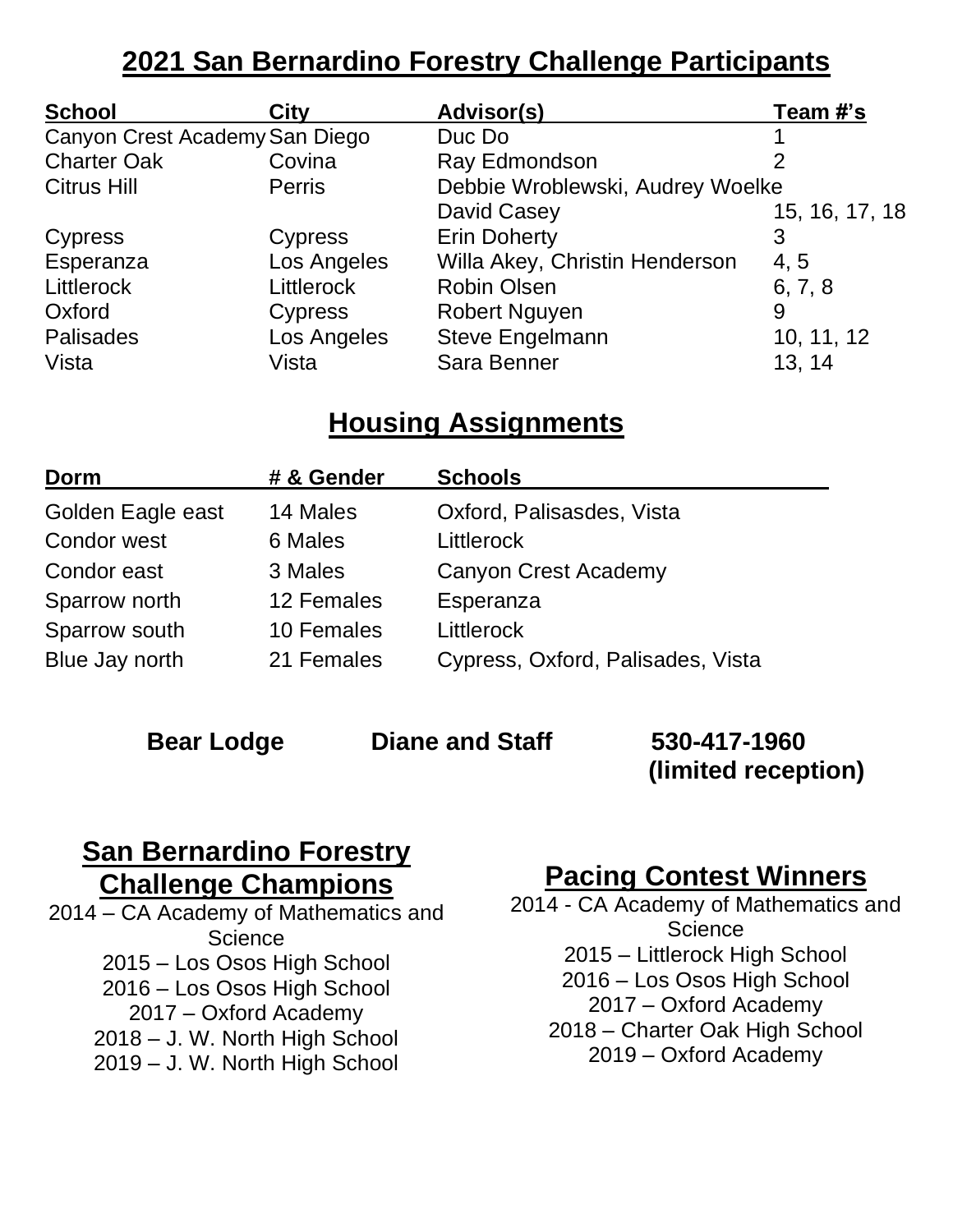## **2021 San Bernardino Forestry Challenge Participants**

| <b>School</b>                  | City              | Advisor(s)                       | Team #'s       |
|--------------------------------|-------------------|----------------------------------|----------------|
| Canyon Crest Academy San Diego |                   | Duc Do                           |                |
| <b>Charter Oak</b>             | Covina            | Ray Edmondson                    | 2              |
| <b>Citrus Hill</b>             | <b>Perris</b>     | Debbie Wroblewski, Audrey Woelke |                |
|                                |                   | David Casey                      | 15, 16, 17, 18 |
| Cypress                        | <b>Cypress</b>    | <b>Erin Doherty</b>              | 3              |
| Esperanza                      | Los Angeles       | Willa Akey, Christin Henderson   | 4, 5           |
| Littlerock                     | <b>Littlerock</b> | <b>Robin Olsen</b>               | 6, 7, 8        |
| Oxford                         | Cypress           | <b>Robert Nguyen</b>             | 9              |
| Palisades                      | Los Angeles       | <b>Steve Engelmann</b>           | 10, 11, 12     |
| Vista                          | Vista             | Sara Benner                      | 13, 14         |

### **Housing Assignments**

| Dorm              | # & Gender | <b>Schools</b>                    |
|-------------------|------------|-----------------------------------|
| Golden Eagle east | 14 Males   | Oxford, Palisasdes, Vista         |
| Condor west       | 6 Males    | <b>Littlerock</b>                 |
| Condor east       | 3 Males    | <b>Canyon Crest Academy</b>       |
| Sparrow north     | 12 Females | Esperanza                         |
| Sparrow south     | 10 Females | <b>Littlerock</b>                 |
| Blue Jay north    | 21 Females | Cypress, Oxford, Palisades, Vista |

#### **Bear Lodge Diane and Staff 530-417-1960**

**(limited reception)**

## **San Bernardino Forestry Challenge Champions**

2014 – CA Academy of Mathematics and **Science** 2015 – Los Osos High School 2016 – Los Osos High School 2017 – Oxford Academy 2018 – J. W. North High School 2019 – J. W. North High School

### **Pacing Contest Winners**

2014 - CA Academy of Mathematics and **Science** 2015 – Littlerock High School 2016 – Los Osos High School 2017 – Oxford Academy 2018 – Charter Oak High School 2019 – Oxford Academy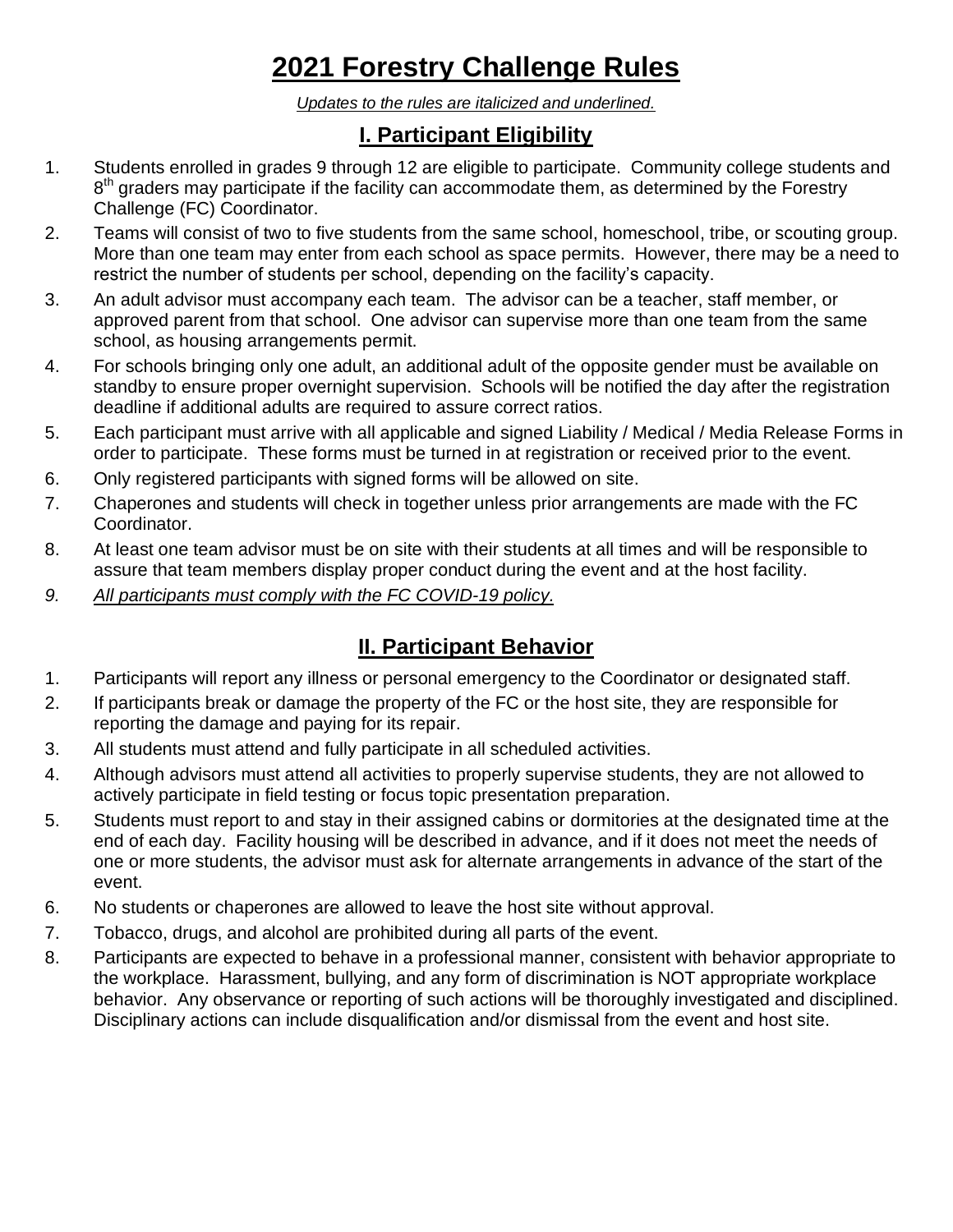# **2021 Forestry Challenge Rules**

*Updates to the rules are italicized and underlined.*

### **I. Participant Eligibility**

- 1. Students enrolled in grades 9 through 12 are eligible to participate. Community college students and 8<sup>th</sup> graders may participate if the facility can accommodate them, as determined by the Forestry Challenge (FC) Coordinator.
- 2. Teams will consist of two to five students from the same school, homeschool, tribe, or scouting group. More than one team may enter from each school as space permits. However, there may be a need to restrict the number of students per school, depending on the facility's capacity.
- 3. An adult advisor must accompany each team. The advisor can be a teacher, staff member, or approved parent from that school. One advisor can supervise more than one team from the same school, as housing arrangements permit.
- 4. For schools bringing only one adult, an additional adult of the opposite gender must be available on standby to ensure proper overnight supervision. Schools will be notified the day after the registration deadline if additional adults are required to assure correct ratios.
- 5. Each participant must arrive with all applicable and signed Liability / Medical / Media Release Forms in order to participate. These forms must be turned in at registration or received prior to the event.
- 6. Only registered participants with signed forms will be allowed on site.
- 7. Chaperones and students will check in together unless prior arrangements are made with the FC Coordinator.
- 8. At least one team advisor must be on site with their students at all times and will be responsible to assure that team members display proper conduct during the event and at the host facility.
- *9. All participants must comply with the FC COVID-19 policy.*

#### **II. Participant Behavior**

- 1. Participants will report any illness or personal emergency to the Coordinator or designated staff.
- 2. If participants break or damage the property of the FC or the host site, they are responsible for reporting the damage and paying for its repair.
- 3. All students must attend and fully participate in all scheduled activities.
- 4. Although advisors must attend all activities to properly supervise students, they are not allowed to actively participate in field testing or focus topic presentation preparation.
- 5. Students must report to and stay in their assigned cabins or dormitories at the designated time at the end of each day. Facility housing will be described in advance, and if it does not meet the needs of one or more students, the advisor must ask for alternate arrangements in advance of the start of the event.
- 6. No students or chaperones are allowed to leave the host site without approval.
- 7. Tobacco, drugs, and alcohol are prohibited during all parts of the event.
- 8. Participants are expected to behave in a professional manner, consistent with behavior appropriate to the workplace. Harassment, bullying, and any form of discrimination is NOT appropriate workplace behavior. Any observance or reporting of such actions will be thoroughly investigated and disciplined. Disciplinary actions can include disqualification and/or dismissal from the event and host site.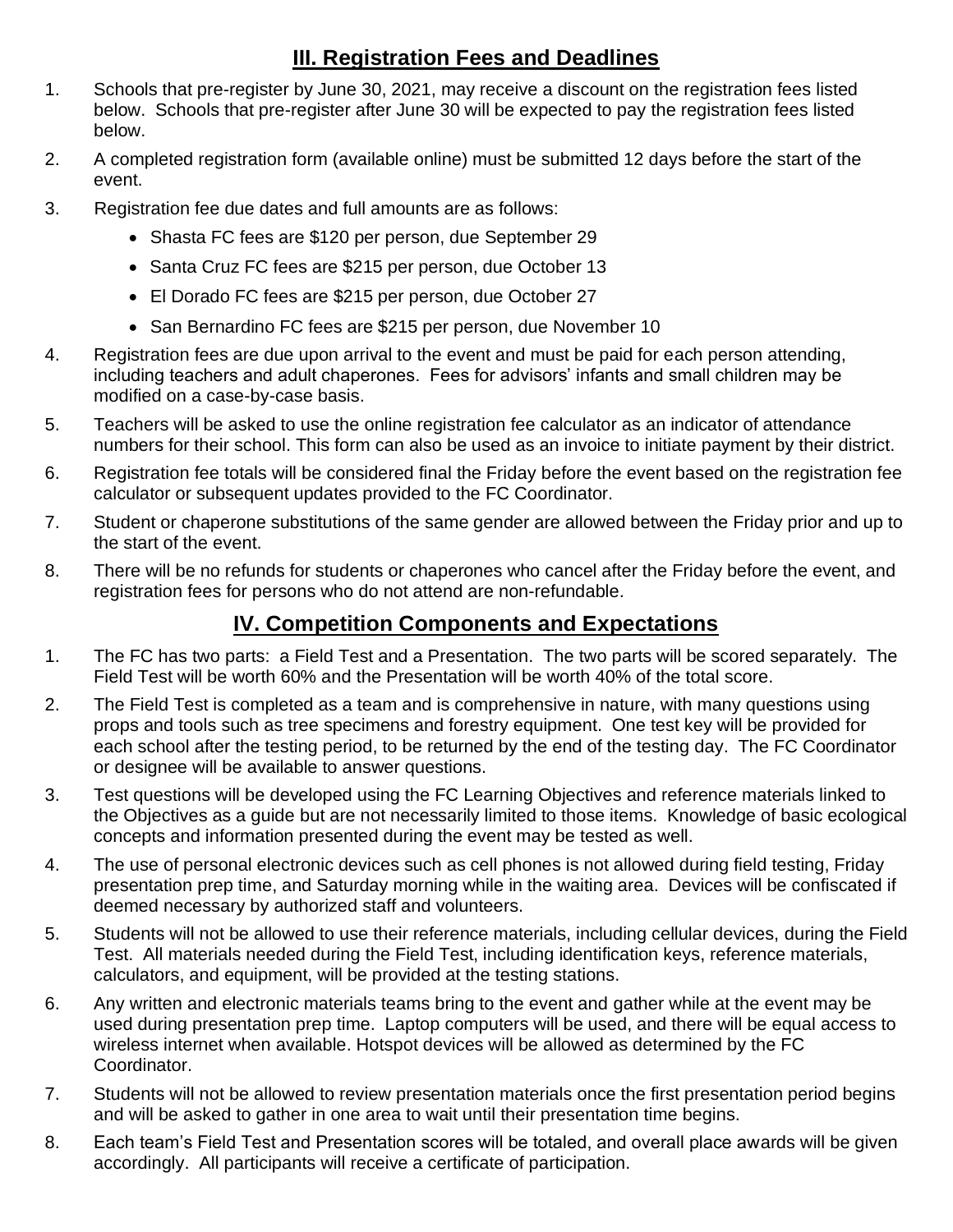#### **III. Registration Fees and Deadlines**

- 1. Schools that pre-register by June 30, 2021, may receive a discount on the registration fees listed below. Schools that pre-register after June 30 will be expected to pay the registration fees listed below.
- 2. A completed registration form (available online) must be submitted 12 days before the start of the event.
- 3. Registration fee due dates and full amounts are as follows:
	- Shasta FC fees are \$120 per person, due September 29
	- Santa Cruz FC fees are \$215 per person, due October 13
	- El Dorado FC fees are \$215 per person, due October 27
	- San Bernardino FC fees are \$215 per person, due November 10
- 4. Registration fees are due upon arrival to the event and must be paid for each person attending, including teachers and adult chaperones. Fees for advisors' infants and small children may be modified on a case-by-case basis.
- 5. Teachers will be asked to use the online registration fee calculator as an indicator of attendance numbers for their school. This form can also be used as an invoice to initiate payment by their district.
- 6. Registration fee totals will be considered final the Friday before the event based on the registration fee calculator or subsequent updates provided to the FC Coordinator.
- 7. Student or chaperone substitutions of the same gender are allowed between the Friday prior and up to the start of the event.
- 8. There will be no refunds for students or chaperones who cancel after the Friday before the event, and registration fees for persons who do not attend are non-refundable.

#### **IV. Competition Components and Expectations**

- 1. The FC has two parts: a Field Test and a Presentation. The two parts will be scored separately. The Field Test will be worth 60% and the Presentation will be worth 40% of the total score.
- 2. The Field Test is completed as a team and is comprehensive in nature, with many questions using props and tools such as tree specimens and forestry equipment. One test key will be provided for each school after the testing period, to be returned by the end of the testing day. The FC Coordinator or designee will be available to answer questions.
- 3. Test questions will be developed using the FC Learning Objectives and reference materials linked to the Objectives as a guide but are not necessarily limited to those items. Knowledge of basic ecological concepts and information presented during the event may be tested as well.
- 4. The use of personal electronic devices such as cell phones is not allowed during field testing, Friday presentation prep time, and Saturday morning while in the waiting area. Devices will be confiscated if deemed necessary by authorized staff and volunteers.
- 5. Students will not be allowed to use their reference materials, including cellular devices, during the Field Test. All materials needed during the Field Test, including identification keys, reference materials, calculators, and equipment, will be provided at the testing stations.
- 6. Any written and electronic materials teams bring to the event and gather while at the event may be used during presentation prep time. Laptop computers will be used, and there will be equal access to wireless internet when available. Hotspot devices will be allowed as determined by the FC Coordinator.
- 7. Students will not be allowed to review presentation materials once the first presentation period begins and will be asked to gather in one area to wait until their presentation time begins.
- 8. Each team's Field Test and Presentation scores will be totaled, and overall place awards will be given accordingly. All participants will receive a certificate of participation.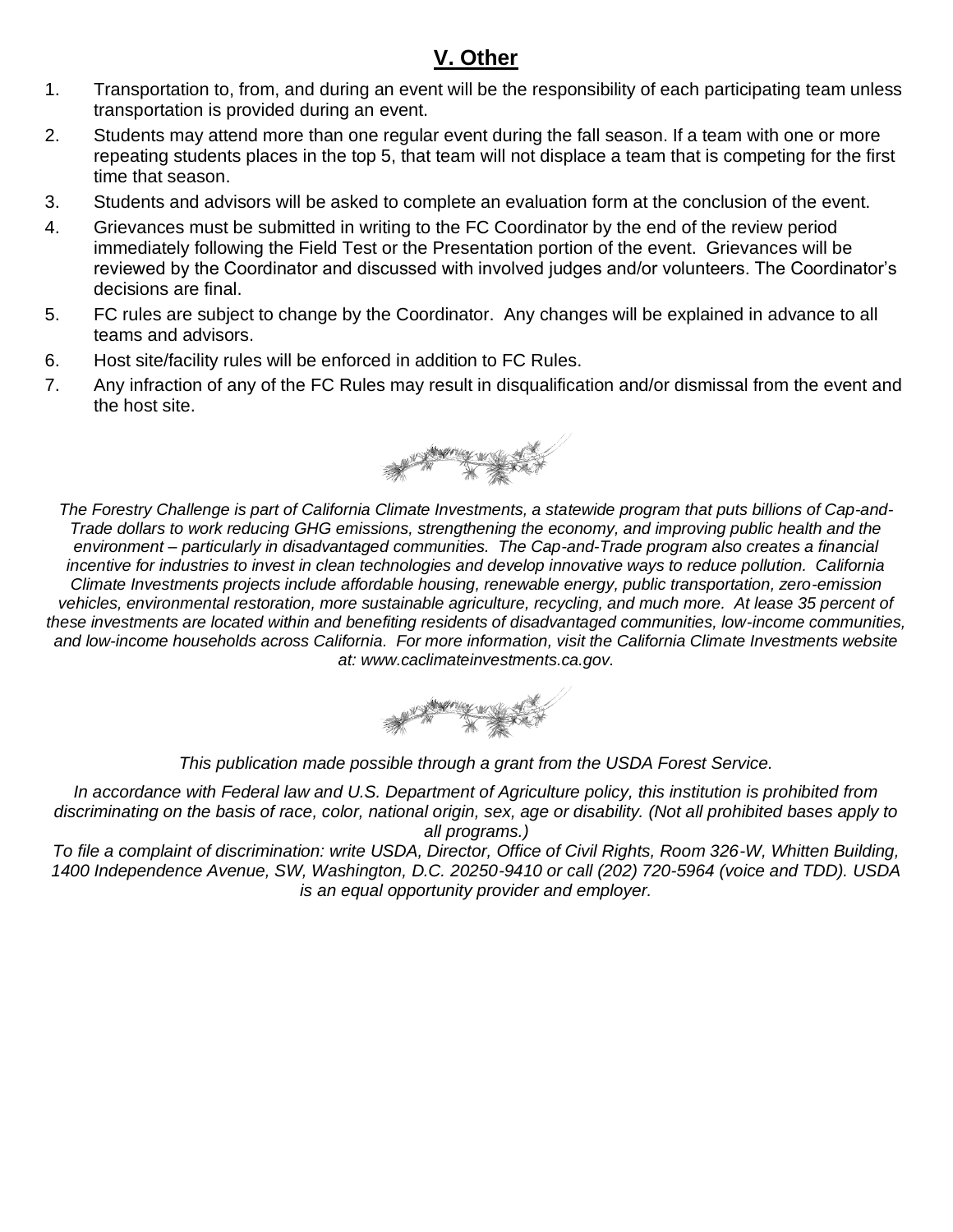### **V. Other**

- 1. Transportation to, from, and during an event will be the responsibility of each participating team unless transportation is provided during an event.
- 2. Students may attend more than one regular event during the fall season. If a team with one or more repeating students places in the top 5, that team will not displace a team that is competing for the first time that season.
- 3. Students and advisors will be asked to complete an evaluation form at the conclusion of the event.
- 4. Grievances must be submitted in writing to the FC Coordinator by the end of the review period immediately following the Field Test or the Presentation portion of the event. Grievances will be reviewed by the Coordinator and discussed with involved judges and/or volunteers. The Coordinator's decisions are final.
- 5. FC rules are subject to change by the Coordinator. Any changes will be explained in advance to all teams and advisors.
- 6. Host site/facility rules will be enforced in addition to FC Rules.
- 7. Any infraction of any of the FC Rules may result in disqualification and/or dismissal from the event and the host site.



*The Forestry Challenge is part of California Climate Investments, a statewide program that puts billions of Cap-and-Trade dollars to work reducing GHG emissions, strengthening the economy, and improving public health and the environment – particularly in disadvantaged communities. The Cap-and-Trade program also creates a financial incentive for industries to invest in clean technologies and develop innovative ways to reduce pollution. California Climate Investments projects include affordable housing, renewable energy, public transportation, zero-emission*  vehicles, environmental restoration, more sustainable agriculture, recycling, and much more. At lease 35 percent of *these investments are located within and benefiting residents of disadvantaged communities, low-income communities, and low-income households across California. For more information, visit the California Climate Investments website at: www.caclimateinvestments.ca.gov.*



*This publication made possible through a grant from the USDA Forest Service.*

*In accordance with Federal law and U.S. Department of Agriculture policy, this institution is prohibited from discriminating on the basis of race, color, national origin, sex, age or disability. (Not all prohibited bases apply to all programs.)*

*To file a complaint of discrimination: write USDA, Director, Office of Civil Rights, Room 326-W, Whitten Building, 1400 Independence Avenue, SW, Washington, D.C. 20250-9410 or call (202) 720-5964 (voice and TDD). USDA is an equal opportunity provider and employer.*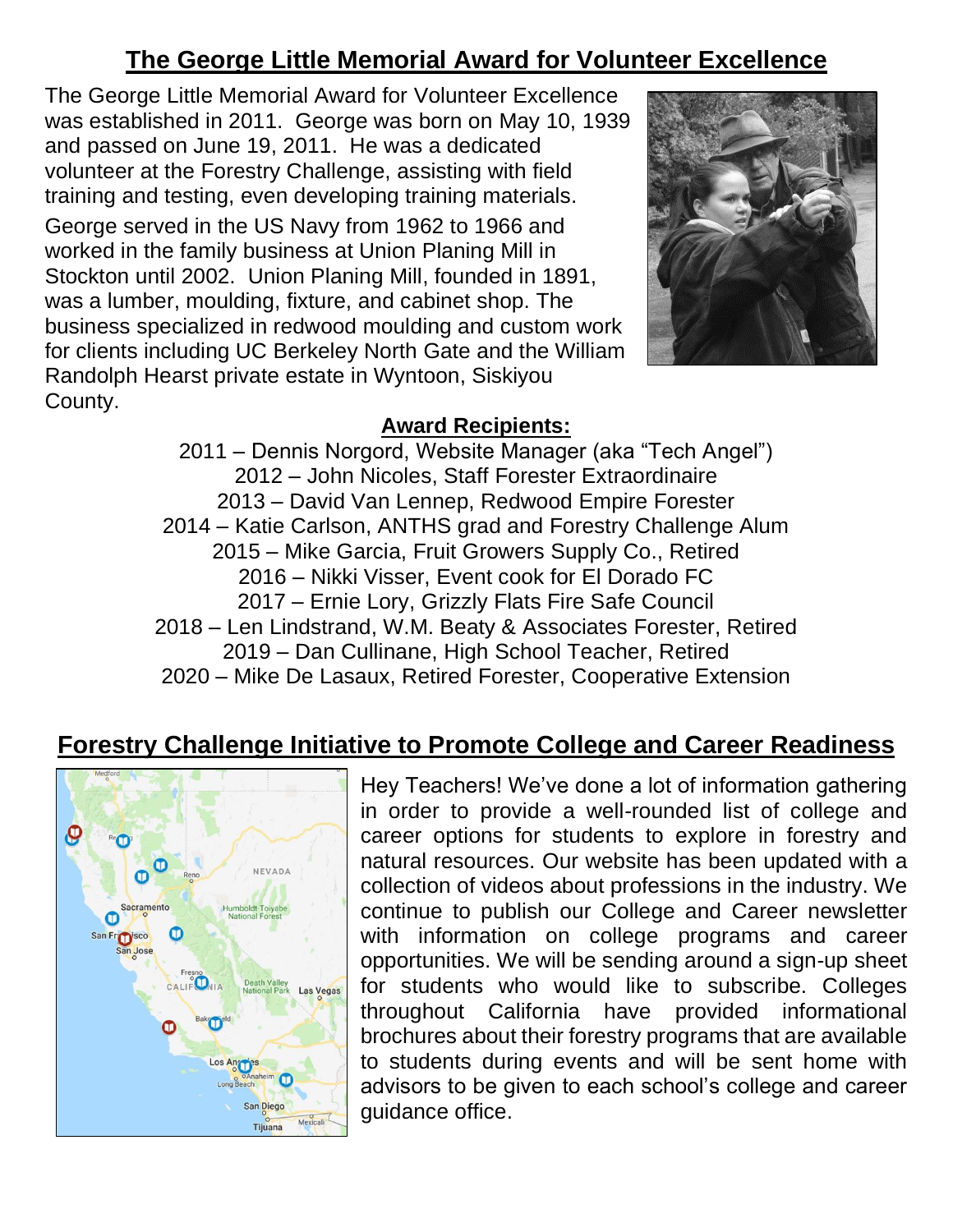### **The George Little Memorial Award for Volunteer Excellence**

The George Little Memorial Award for Volunteer Excellence was established in 2011. George was born on May 10, 1939 and passed on June 19, 2011. He was a dedicated volunteer at the Forestry Challenge, assisting with field training and testing, even developing training materials. George served in the US Navy from 1962 to 1966 and worked in the family business at Union Planing Mill in Stockton until 2002. Union Planing Mill, founded in 1891, was a lumber, moulding, fixture, and cabinet shop. The business specialized in redwood moulding and custom work for clients including UC Berkeley North Gate and the William Randolph Hearst private estate in Wyntoon, Siskiyou County.



#### **Award Recipients:**

2011 – Dennis Norgord, Website Manager (aka "Tech Angel") 2012 – John Nicoles, Staff Forester Extraordinaire 2013 – David Van Lennep, Redwood Empire Forester 2014 – Katie Carlson, ANTHS grad and Forestry Challenge Alum 2015 – Mike Garcia, Fruit Growers Supply Co., Retired 2016 – Nikki Visser, Event cook for El Dorado FC 2017 – Ernie Lory, Grizzly Flats Fire Safe Council 2018 – Len Lindstrand, W.M. Beaty & Associates Forester, Retired 2019 – Dan Cullinane, High School Teacher, Retired 2020 – Mike De Lasaux, Retired Forester, Cooperative Extension

### **Forestry Challenge Initiative to Promote College and Career Readiness**



Hey Teachers! We've done a lot of information gathering in order to provide a well-rounded list of college and career options for students to explore in forestry and natural resources. Our website has been updated with a collection of videos about professions in the industry. We continue to publish our College and Career newsletter with information on college programs and career opportunities. We will be sending around a sign-up sheet for students who would like to subscribe. Colleges throughout California have provided informational brochures about their forestry programs that are available to students during events and will be sent home with advisors to be given to each school's college and career guidance office.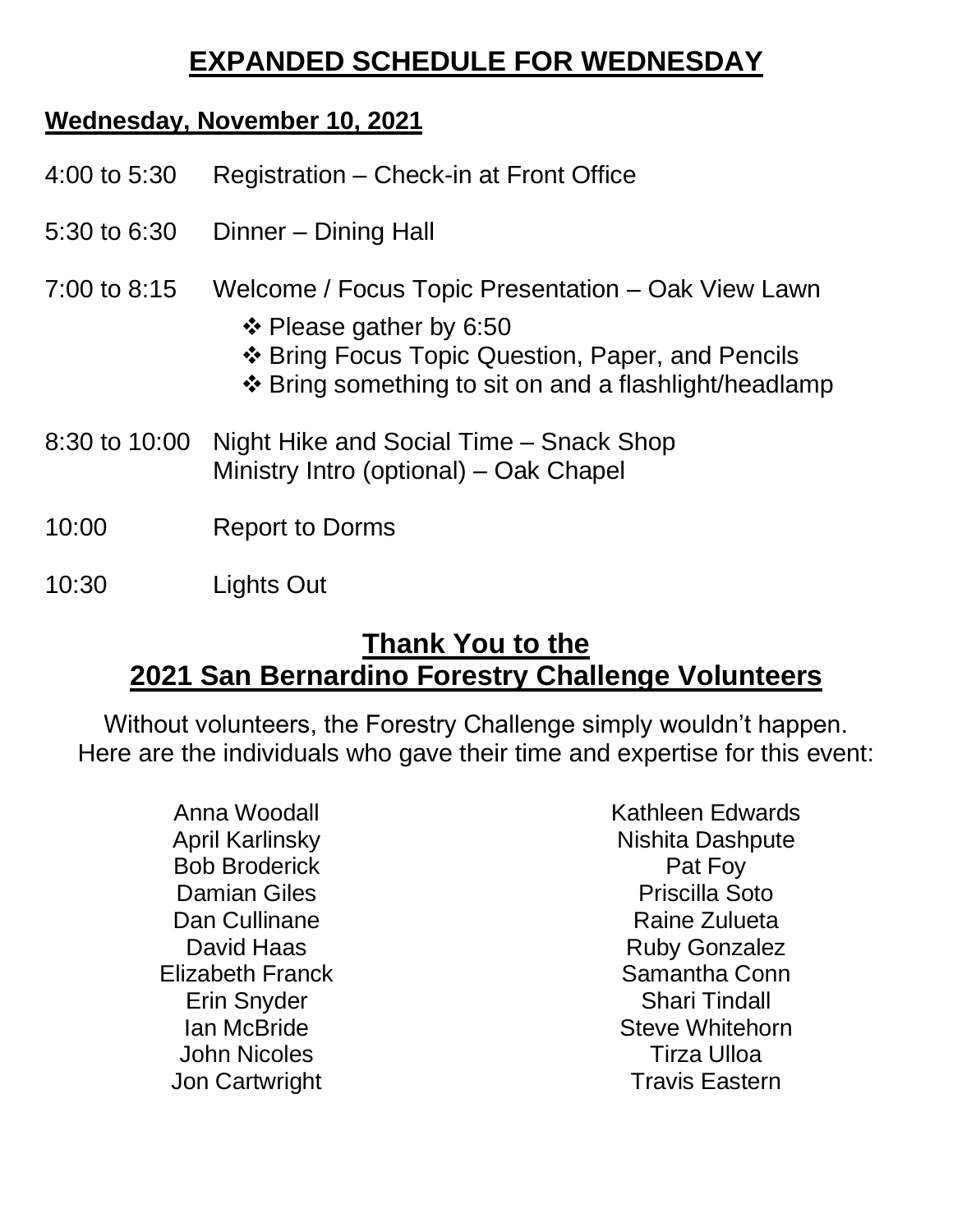# **EXPANDED SCHEDULE FOR WEDNESDAY**

### **Wednesday, November 10, 2021**

| 4:00 to 5:30 | Registration – Check-in at Front Office |  |
|--------------|-----------------------------------------|--|
|              |                                         |  |

- 5:30 to 6:30 Dinner Dining Hall
- 7:00 to 8:15 Welcome / Focus Topic Presentation Oak View Lawn
	- ❖ Please gather by 6:50
	- ❖ Bring Focus Topic Question, Paper, and Pencils
	- ❖ Bring something to sit on and a flashlight/headlamp
- 8:30 to 10:00 Night Hike and Social Time Snack Shop Ministry Intro (optional) – Oak Chapel
- 10:00 Report to Dorms
- 10:30 Lights Out

### **Thank You to the 2021 San Bernardino Forestry Challenge Volunteers**

Without volunteers, the Forestry Challenge simply wouldn't happen. Here are the individuals who gave their time and expertise for this event:

> Anna Woodall April Karlinsky Bob Broderick Damian Giles Dan Cullinane David Haas Elizabeth Franck Erin Snyder Ian McBride John Nicoles Jon Cartwright

Kathleen Edwards Nishita Dashpute Pat Foy Priscilla Soto Raine Zulueta Ruby Gonzalez Samantha Conn Shari Tindall Steve Whitehorn Tirza Ulloa Travis Eastern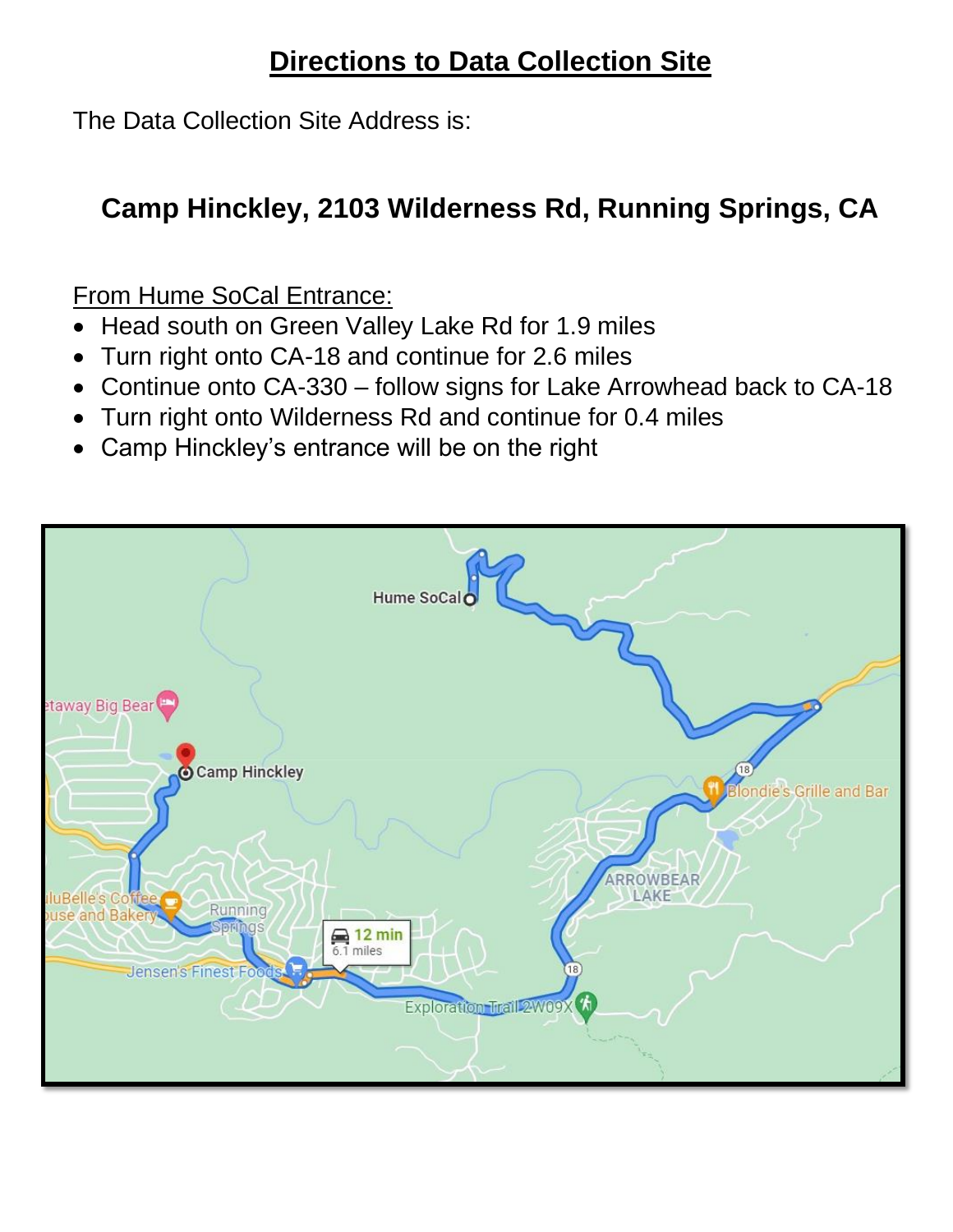# **Directions to Data Collection Site**

The Data Collection Site Address is:

# **Camp Hinckley, 2103 Wilderness Rd, Running Springs, CA**

From Hume SoCal Entrance:

- Head south on Green Valley Lake Rd for 1.9 miles
- Turn right onto CA-18 and continue for 2.6 miles
- Continue onto CA-330 follow signs for Lake Arrowhead back to CA-18
- Turn right onto Wilderness Rd and continue for 0.4 miles
- Camp Hinckley's entrance will be on the right

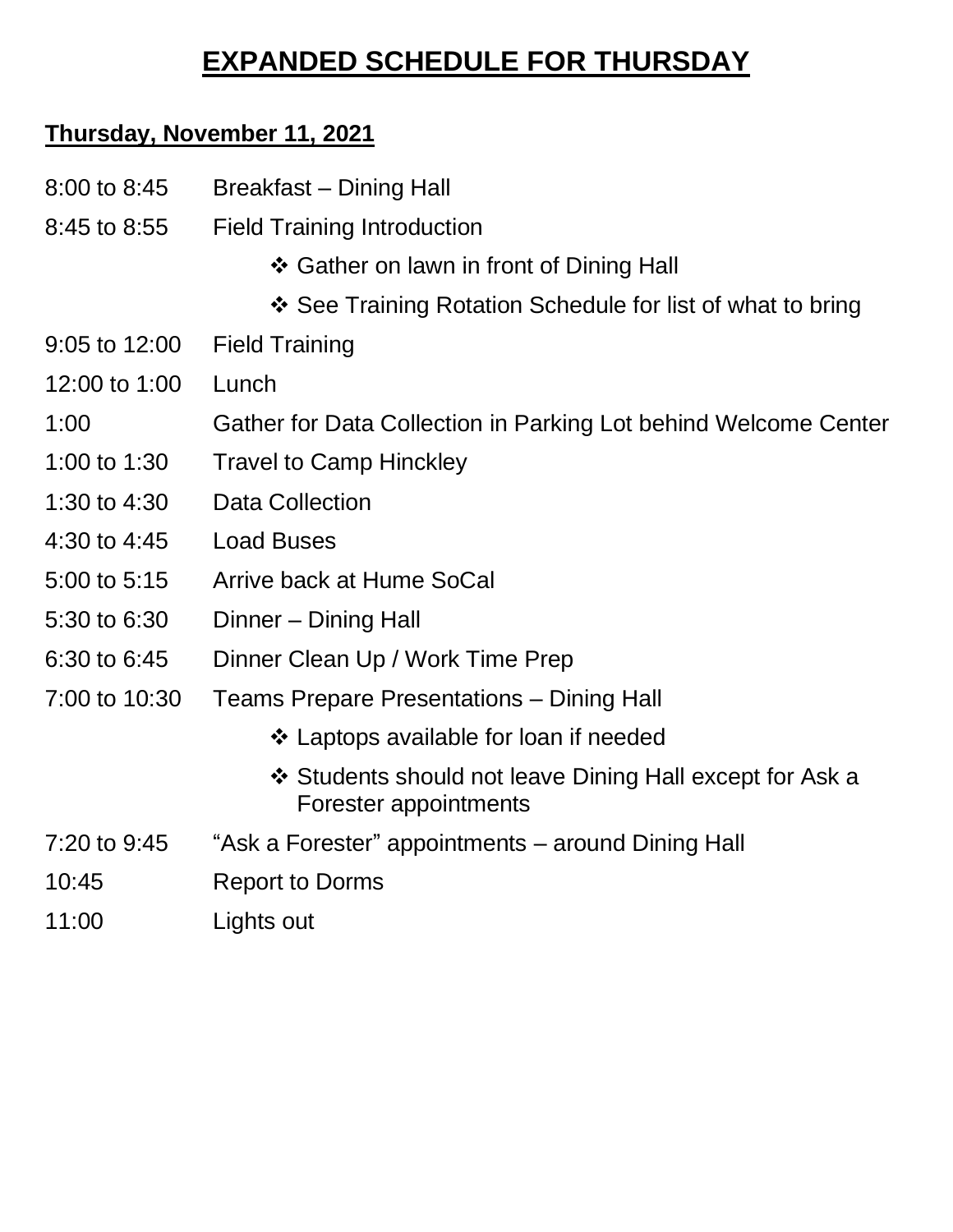# **EXPANDED SCHEDULE FOR THURSDAY**

## **Thursday, November 11, 2021**

| 8:00 to 8:45            | <b>Breakfast – Dining Hall</b>                                                    |
|-------------------------|-----------------------------------------------------------------------------------|
| 8:45 to 8:55            | <b>Field Training Introduction</b>                                                |
|                         | ❖ Gather on lawn in front of Dining Hall                                          |
|                         | ❖ See Training Rotation Schedule for list of what to bring                        |
| $9:05$ to $12:00$       | <b>Field Training</b>                                                             |
| 12:00 to 1:00           | Lunch                                                                             |
| 1:00                    | Gather for Data Collection in Parking Lot behind Welcome Center                   |
| 1:00 to 1:30            | <b>Travel to Camp Hinckley</b>                                                    |
| 1:30 to 4:30            | <b>Data Collection</b>                                                            |
| 4:30 to 4:45            | <b>Load Buses</b>                                                                 |
| 5:00 to 5:15            | Arrive back at Hume SoCal                                                         |
| 5:30 to 6:30            | Dinner – Dining Hall                                                              |
| 6:30 to 6:45            | Dinner Clean Up / Work Time Prep                                                  |
| 7:00 to 10:30           | <b>Teams Prepare Presentations – Dining Hall</b>                                  |
|                         | ❖ Laptops available for loan if needed                                            |
|                         | ❖ Students should not leave Dining Hall except for Ask a<br>Forester appointments |
| 7:20 to 9:45            | "Ask a Forester" appointments – around Dining Hall                                |
| 10:45                   | <b>Report to Dorms</b>                                                            |
| $\overline{A}$ . $\cap$ | المنتجر جلوا حرابا                                                                |

11:00 Lights out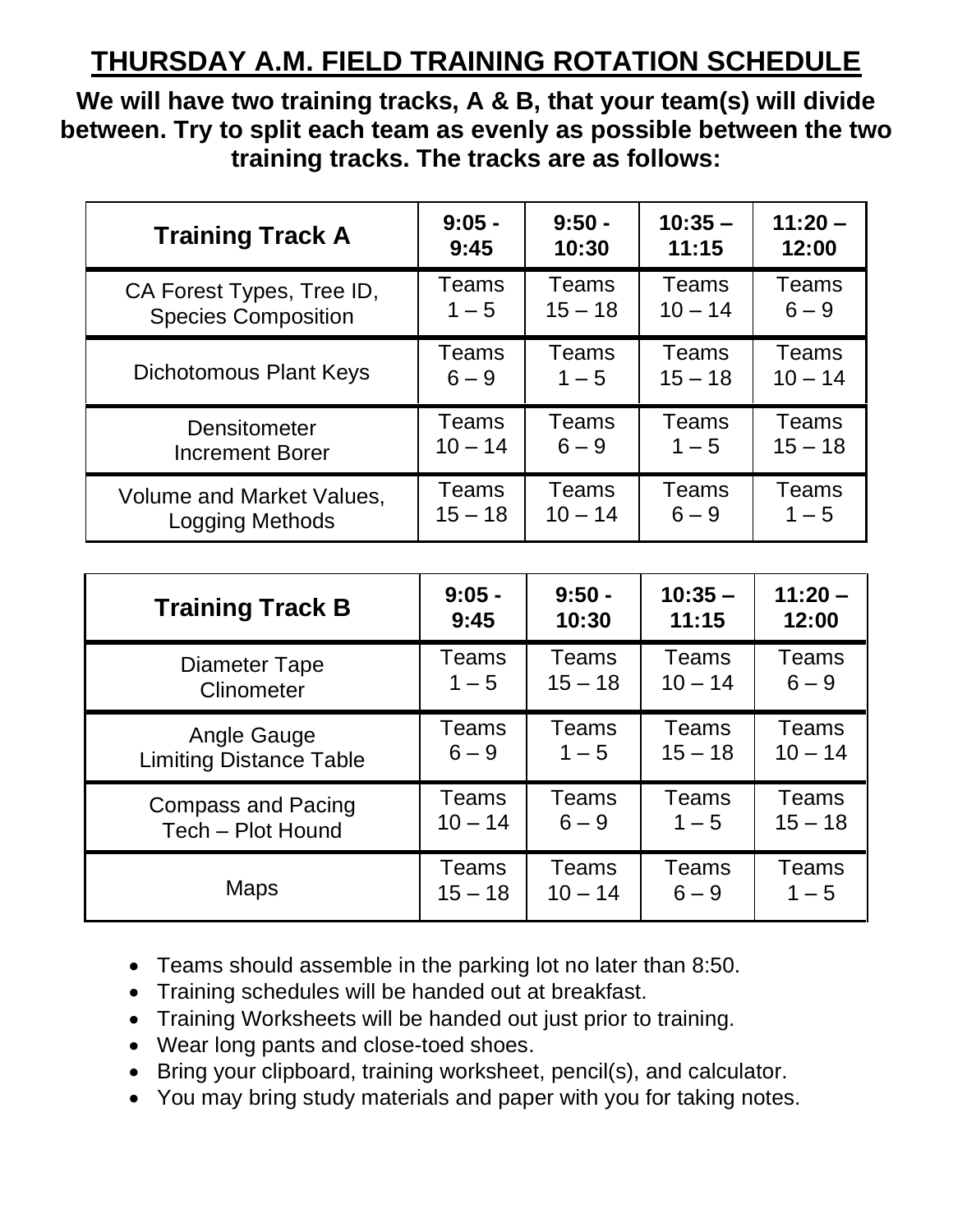# **THURSDAY A.M. FIELD TRAINING ROTATION SCHEDULE**

**We will have two training tracks, A & B, that your team(s) will divide between. Try to split each team as evenly as possible between the two training tracks. The tracks are as follows:**

| <b>Training Track A</b>          | $9:05 -$  | $9:50 -$  | $10:35 -$ | $11:20 -$ |
|----------------------------------|-----------|-----------|-----------|-----------|
|                                  | 9:45      | 10:30     | 11:15     | 12:00     |
| CA Forest Types, Tree ID,        | Teams     | Teams     | Teams     | Teams     |
| <b>Species Composition</b>       | $1 - 5$   | $15 - 18$ | $10 - 14$ | $6 - 9$   |
| <b>Dichotomous Plant Keys</b>    | Teams     | Teams     | Teams     | Teams     |
|                                  | $6 - 9$   | $1 - 5$   | $15 - 18$ | $10 - 14$ |
| <b>Densitometer</b>              | Teams     | Teams     | Teams     | Teams     |
| <b>Increment Borer</b>           | $10 - 14$ | $6 - 9$   | $1 - 5$   | $15 - 18$ |
| <b>Volume and Market Values,</b> | Teams     | Teams     | Teams     | Teams     |
| Logging Methods                  | $15 - 18$ | $10 - 14$ | $6 - 9$   | $1 - 5$   |

| <b>Training Track B</b>        | $9:05 -$  | $9:50 -$     | $10:35 -$    | $11:20 -$ |
|--------------------------------|-----------|--------------|--------------|-----------|
|                                | 9:45      | 10:30        | 11:15        | 12:00     |
| <b>Diameter Tape</b>           | Teams     | Teams        | Teams        | Teams     |
| Clinometer                     | $1 - 5$   | $15 - 18$    | $10 - 14$    | $6 - 9$   |
| Angle Gauge                    | Teams     | <b>Teams</b> | <b>Teams</b> | Teams     |
| <b>Limiting Distance Table</b> | $6 - 9$   | $1 - 5$      | $15 - 18$    | $10 - 14$ |
| <b>Compass and Pacing</b>      | Teams     | Teams        | Teams        | Teams     |
| Tech - Plot Hound              | $10 - 14$ | $6 - 9$      | $1 - 5$      | $15 - 18$ |
| <b>Maps</b>                    | Teams     | <b>Teams</b> | Teams        | Teams     |
|                                | $15 - 18$ | $10 - 14$    | $6 - 9$      | $1 - 5$   |

- Teams should assemble in the parking lot no later than 8:50.
- Training schedules will be handed out at breakfast.
- Training Worksheets will be handed out just prior to training.
- Wear long pants and close-toed shoes.
- Bring your clipboard, training worksheet, pencil(s), and calculator.
- You may bring study materials and paper with you for taking notes.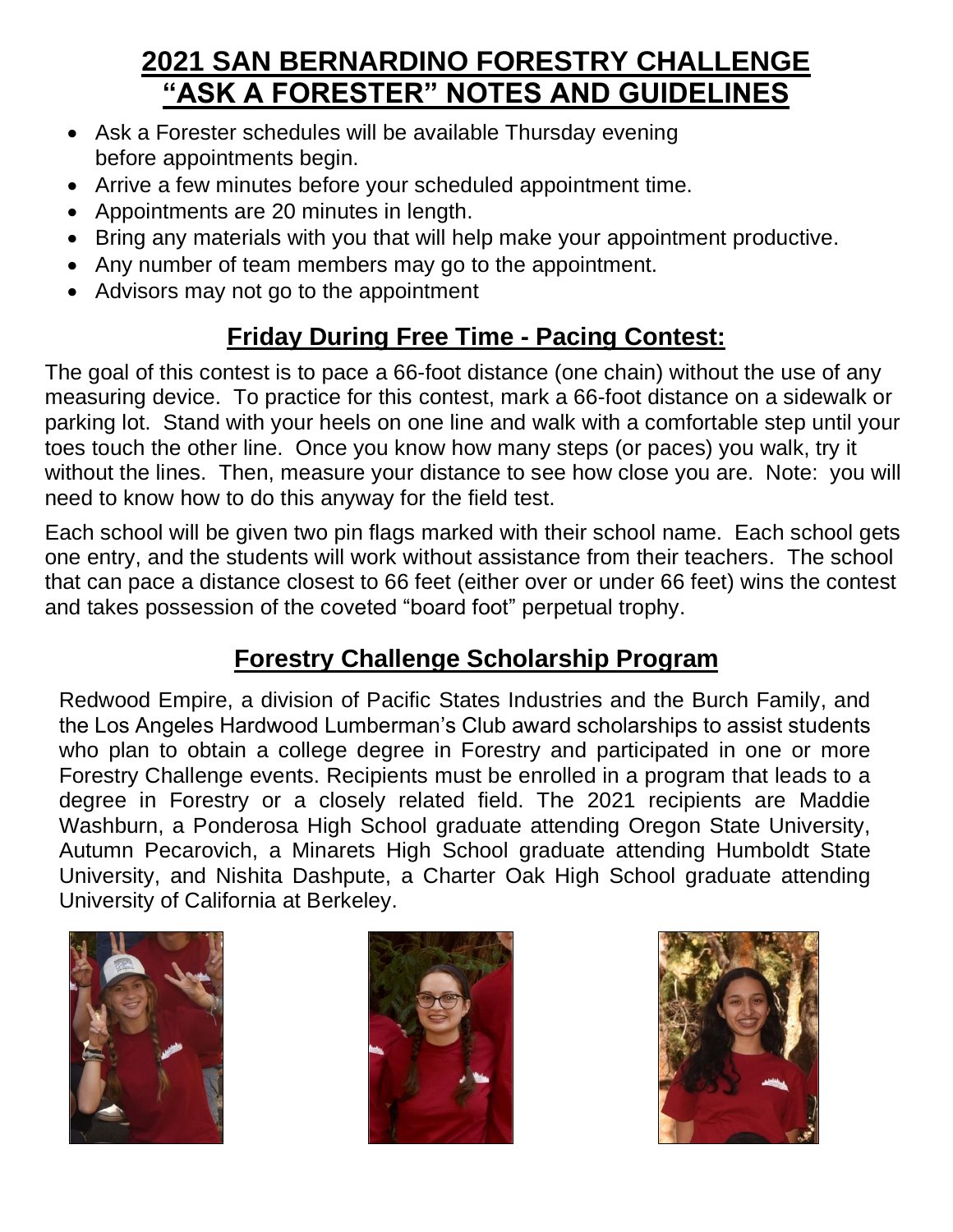# **2021 SAN BERNARDINO FORESTRY CHALLENGE "ASK A FORESTER" NOTES AND GUIDELINES**

- Ask a Forester schedules will be available Thursday evening before appointments begin.
- Arrive a few minutes before your scheduled appointment time.
- Appointments are 20 minutes in length.
- Bring any materials with you that will help make your appointment productive.
- Any number of team members may go to the appointment.
- Advisors may not go to the appointment

## **Friday During Free Time - Pacing Contest:**

The goal of this contest is to pace a 66-foot distance (one chain) without the use of any measuring device. To practice for this contest, mark a 66-foot distance on a sidewalk or parking lot. Stand with your heels on one line and walk with a comfortable step until your toes touch the other line. Once you know how many steps (or paces) you walk, try it without the lines. Then, measure your distance to see how close you are. Note: you will need to know how to do this anyway for the field test.

Each school will be given two pin flags marked with their school name. Each school gets one entry, and the students will work without assistance from their teachers. The school that can pace a distance closest to 66 feet (either over or under 66 feet) wins the contest and takes possession of the coveted "board foot" perpetual trophy.

## **Forestry Challenge Scholarship Program**

Redwood Empire, a division of Pacific States Industries and the Burch Family, and the Los Angeles Hardwood Lumberman's Club award scholarships to assist students who plan to obtain a college degree in Forestry and participated in one or more Forestry Challenge events. Recipients must be enrolled in a program that leads to a degree in Forestry or a closely related field. The 2021 recipients are Maddie Washburn, a Ponderosa High School graduate attending Oregon State University, Autumn Pecarovich, a Minarets High School graduate attending Humboldt State University, and Nishita Dashpute, a Charter Oak High School graduate attending University of California at Berkeley.





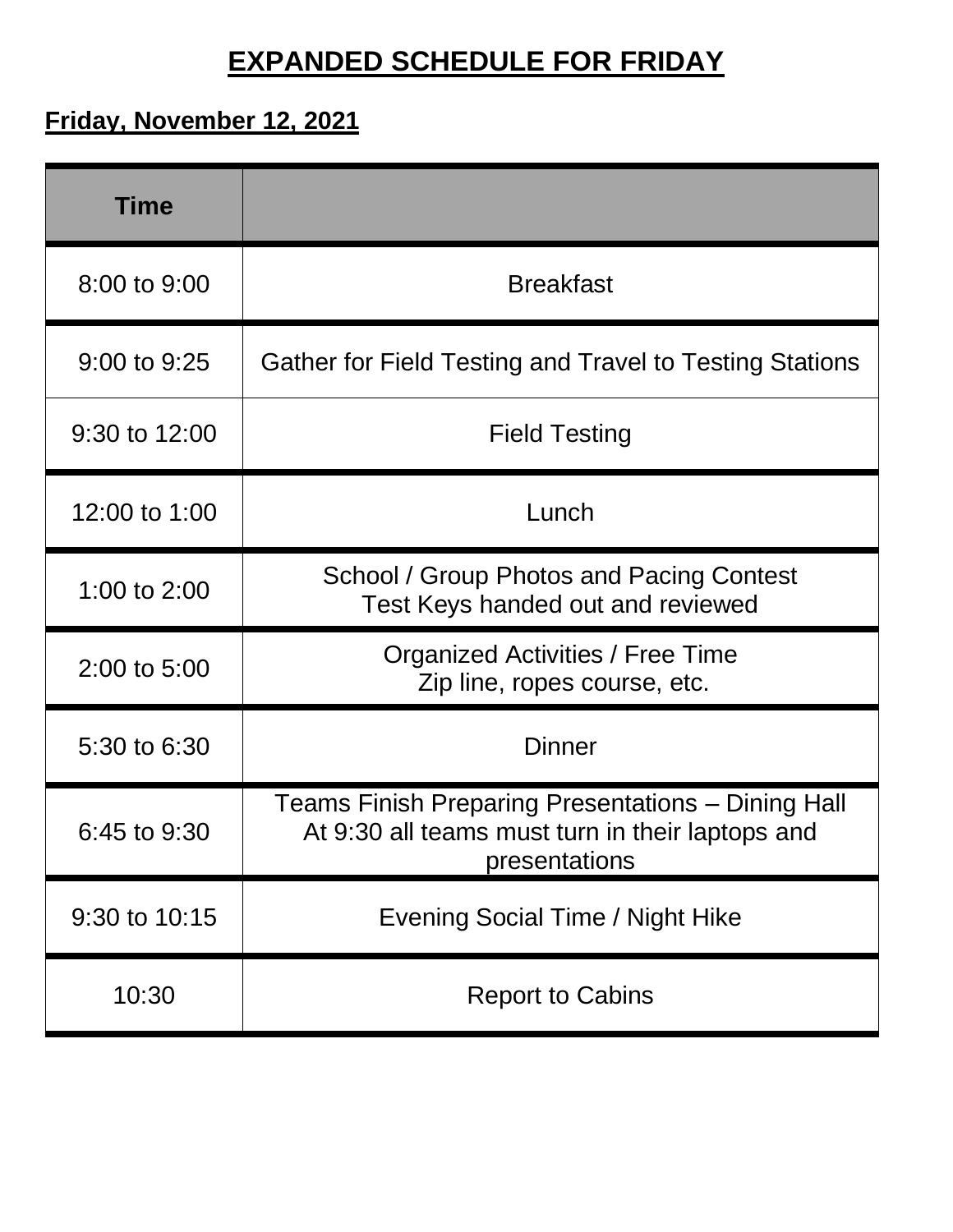# **EXPANDED SCHEDULE FOR FRIDAY**

# **Friday, November 12, 2021**

| <b>Time</b>      |                                                                                                                         |
|------------------|-------------------------------------------------------------------------------------------------------------------------|
| 8:00 to 9:00     | <b>Breakfast</b>                                                                                                        |
| 9:00 to 9:25     | Gather for Field Testing and Travel to Testing Stations                                                                 |
| 9:30 to 12:00    | <b>Field Testing</b>                                                                                                    |
| 12:00 to 1:00    | Lunch                                                                                                                   |
| 1:00 to 2:00     | School / Group Photos and Pacing Contest<br>Test Keys handed out and reviewed                                           |
| 2:00 to 5:00     | Organized Activities / Free Time<br>Zip line, ropes course, etc.                                                        |
| 5:30 to 6:30     | <b>Dinner</b>                                                                                                           |
| $6:45$ to $9:30$ | Teams Finish Preparing Presentations - Dining Hall<br>At 9:30 all teams must turn in their laptops and<br>presentations |
| 9:30 to 10:15    | Evening Social Time / Night Hike                                                                                        |
| 10:30            | <b>Report to Cabins</b>                                                                                                 |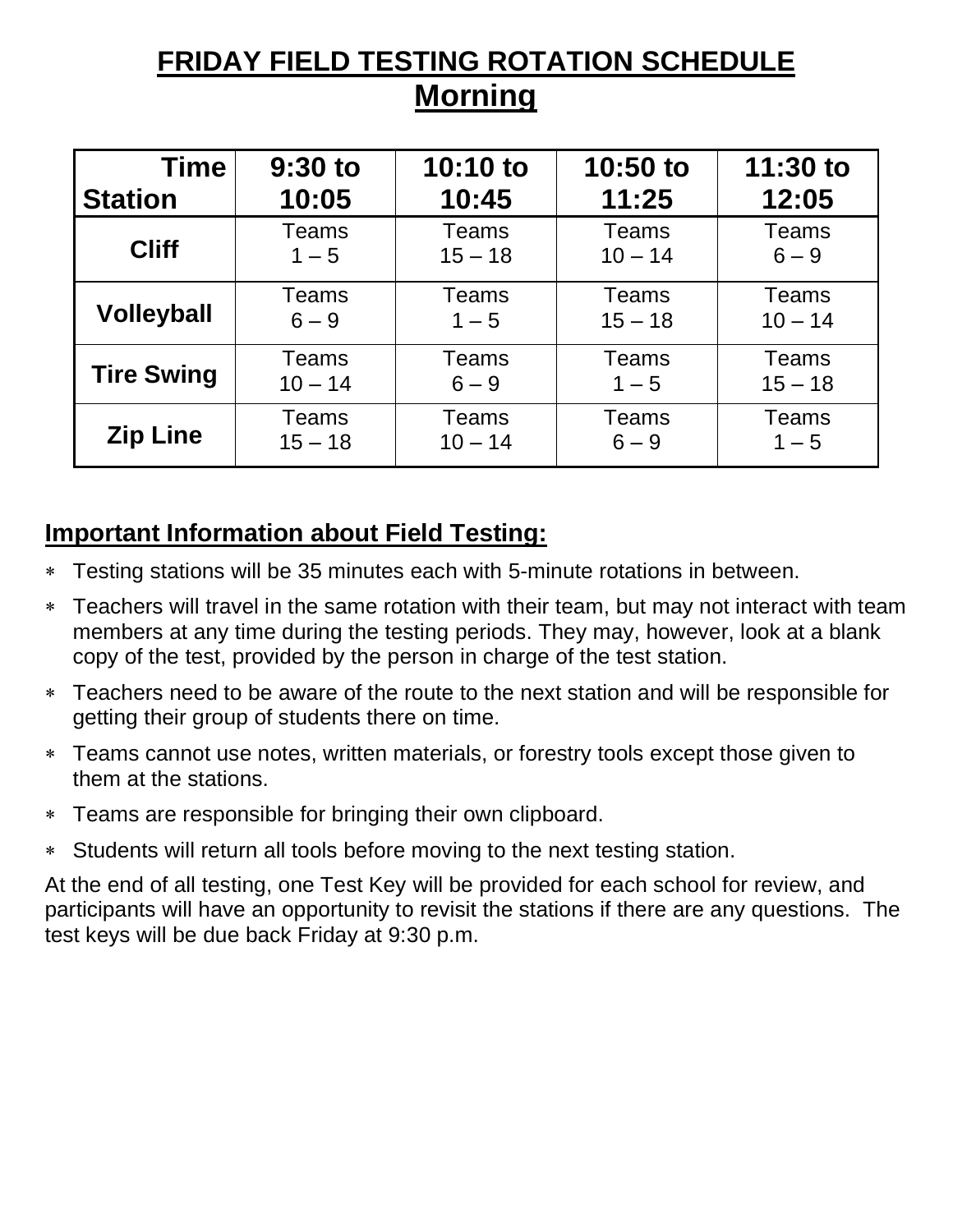# **FRIDAY FIELD TESTING ROTATION SCHEDULE Morning**

| <b>Time</b>       | $9:30$ to | $10:10$ to   | 10:50 to     | 11:30 to     |
|-------------------|-----------|--------------|--------------|--------------|
| <b>Station</b>    | 10:05     | 10:45        | 11:25        | 12:05        |
| <b>Cliff</b>      | Teams     | <b>Teams</b> | Teams        | <b>Teams</b> |
|                   | $1 - 5$   | $15 - 18$    | $10 - 14$    | $6 - 9$      |
| <b>Volleyball</b> | Teams     | Teams        | Teams        | <b>Teams</b> |
|                   | $6 - 9$   | $1 - 5$      | $15 - 18$    | $10 - 14$    |
| <b>Tire Swing</b> | Teams     | Teams        | <b>Teams</b> | <b>Teams</b> |
|                   | $10 - 14$ | $6 - 9$      | $1 - 5$      | $15 - 18$    |
| <b>Zip Line</b>   | Teams     | Teams        | <b>Teams</b> | <b>Teams</b> |
|                   | $15 - 18$ | $10 - 14$    | $6 - 9$      | $1 - 5$      |

### **Important Information about Field Testing:**

- Testing stations will be 35 minutes each with 5-minute rotations in between.
- Teachers will travel in the same rotation with their team, but may not interact with team members at any time during the testing periods. They may, however, look at a blank copy of the test, provided by the person in charge of the test station.
- Teachers need to be aware of the route to the next station and will be responsible for getting their group of students there on time.
- Teams cannot use notes, written materials, or forestry tools except those given to them at the stations.
- Teams are responsible for bringing their own clipboard.
- Students will return all tools before moving to the next testing station.

At the end of all testing, one Test Key will be provided for each school for review, and participants will have an opportunity to revisit the stations if there are any questions. The test keys will be due back Friday at 9:30 p.m.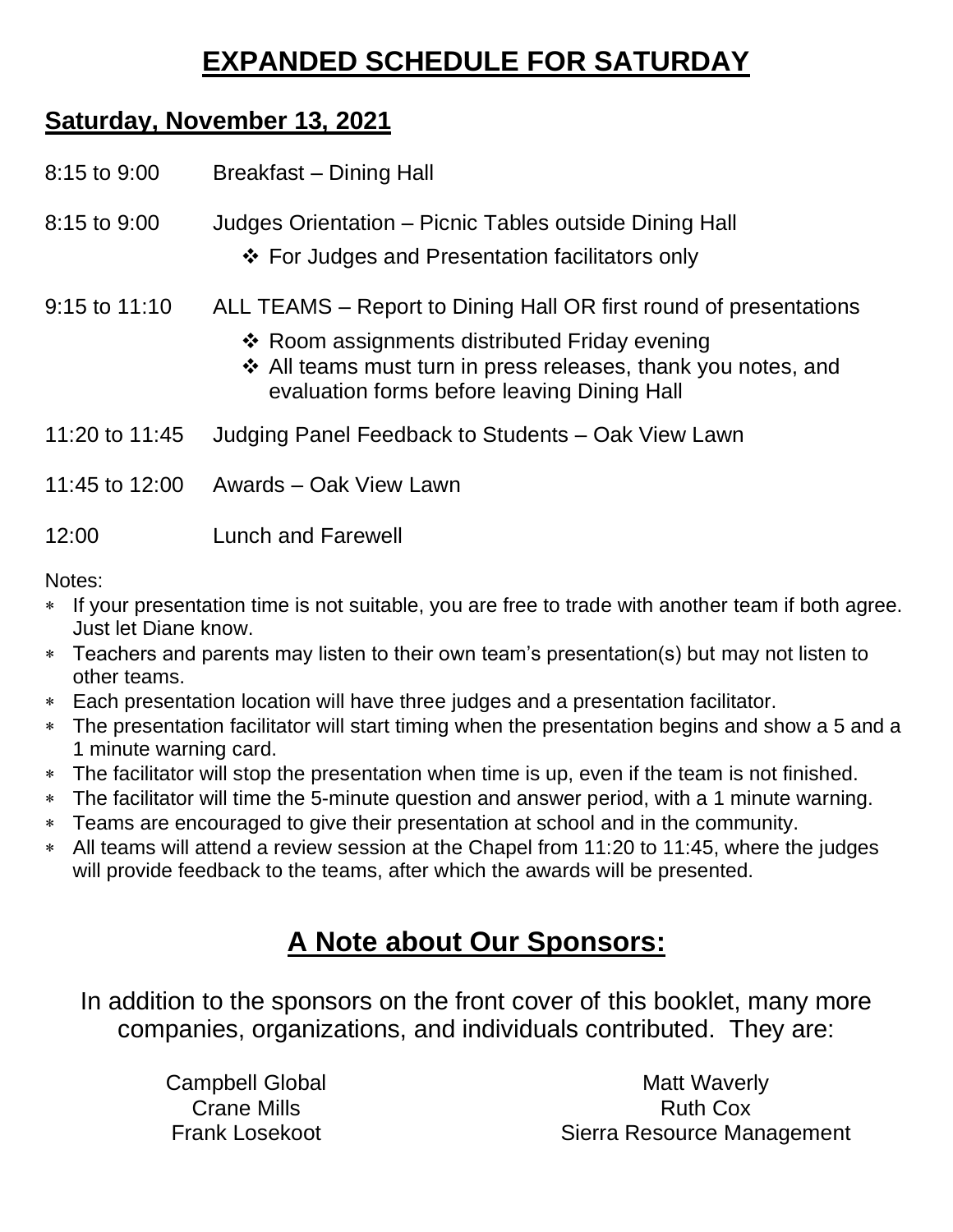# **EXPANDED SCHEDULE FOR SATURDAY**

#### **Saturday, November 13, 2021**

| 8:15 to 9:00   | Breakfast – Dining Hall                                                                                                                                                                                                            |
|----------------|------------------------------------------------------------------------------------------------------------------------------------------------------------------------------------------------------------------------------------|
| 8:15 to 9:00   | Judges Orientation - Picnic Tables outside Dining Hall<br>❖ For Judges and Presentation facilitators only                                                                                                                          |
| 9:15 to 11:10  | ALL TEAMS – Report to Dining Hall OR first round of presentations<br>❖ Room assignments distributed Friday evening<br>❖ All teams must turn in press releases, thank you notes, and<br>evaluation forms before leaving Dining Hall |
| 11:20 to 11:45 | Judging Panel Feedback to Students – Oak View Lawn                                                                                                                                                                                 |
| 11:45 to 12:00 | Awards - Oak View Lawn                                                                                                                                                                                                             |
| 12:00          | <b>Lunch and Farewell</b>                                                                                                                                                                                                          |

Notes:

- If your presentation time is not suitable, you are free to trade with another team if both agree. Just let Diane know.
- Teachers and parents may listen to their own team's presentation(s) but may not listen to other teams.
- Each presentation location will have three judges and a presentation facilitator.
- The presentation facilitator will start timing when the presentation begins and show a 5 and a 1 minute warning card.
- The facilitator will stop the presentation when time is up, even if the team is not finished.
- The facilitator will time the 5-minute question and answer period, with a 1 minute warning.
- Teams are encouraged to give their presentation at school and in the community.
- All teams will attend a review session at the Chapel from 11:20 to 11:45, where the judges will provide feedback to the teams, after which the awards will be presented.

# **A Note about Our Sponsors:**

In addition to the sponsors on the front cover of this booklet, many more companies, organizations, and individuals contributed. They are:

> Campbell Global Crane Mills Frank Losekoot

Matt Waverly Ruth Cox Sierra Resource Management